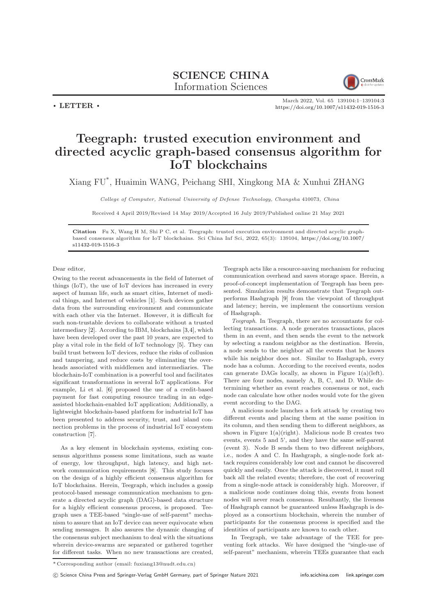## SCIENCE CHINA Information Sciences



 $\cdot$  LETTER  $\cdot$ 

March 2022, Vol. 65 139104:1–139104[:3](#page-2-0) <https://doi.org/10.1007/s11432-019-1516-3>

## Teegraph: trusted execution environment and directed acyclic graph-based consensus algorithm for IoT blockchains

Xiang FU\* , Huaimin WANG, Peichang SHI, Xingkong MA & Xunhui ZHANG

College of Computer, National University of Defense Technology, Changsha 410073, China

Received 4 April 2019/Revised 14 May 2019/Accepted 16 July 2019/Published online 21 May 2021

Citation Fu X, Wang H M, Shi P C, et al. Teegraph: trusted execution environment and directed acyclic graphbased consensus algorithm for IoT blockchains. Sci China Inf Sci, 2022, 65(3): 139104, [https://doi.org/10.1007/](https://doi.org/10.1007/s11432-019-1516-3) [s11432-019-1516-3](https://doi.org/10.1007/s11432-019-1516-3)

Dear editor,

Owing to the recent advancements in the field of Internet of things (IoT), the use of IoT devices has increased in every aspect of human life, such as smart cities, Internet of medical things, and Internet of vehicles [\[1\]](#page-2-1). Such devices gather data from the surrounding environment and communicate with each other via the Internet. However, it is difficult for such non-trustable devices to collaborate without a trusted intermediary [\[2\]](#page-2-2). According to IBM, blockchains [\[3,](#page-2-3)[4\]](#page-2-4), which have been developed over the past 10 years, are expected to play a vital role in the field of IoT technology [\[5\]](#page-2-5). They can build trust between IoT devices, reduce the risks of collusion and tampering, and reduce costs by eliminating the overheads associated with middlemen and intermediaries. The blockchain-IoT combination is a powerful tool and facilitates significant transformations in several IoT applications. For example, Li et al. [\[6\]](#page-2-6) proposed the use of a credit-based payment for fast computing resource trading in an edgeassisted blockchain-enabled IoT application; Additionally, a lightweight blockchain-based platform for industrial IoT has been presented to address security, trust, and island connection problems in the process of industrial IoT ecosystem construction [\[7\]](#page-2-7).

As a key element in blockchain systems, existing consensus algorithms possess some limitations, such as waste of energy, low throughput, high latency, and high network communication requirements [\[8\]](#page-2-8). This study focuses on the design of a highly efficient consensus algorithm for IoT blockchains. Herein, Teegraph, which includes a gossip protocol-based message communication mechanism to generate a directed acyclic graph (DAG)-based data structure for a highly efficient consensus process, is proposed. Teegraph uses a TEE-based "single-use of self-parent" mechanism to assure that an IoT device can never equivocate when sending messages. It also assures the dynamic changing of the consensus subject mechanism to deal with the situations wherein device-swarms are separated or gathered together for different tasks. When no new transactions are created,

Teegraph acts like a resource-saving mechanism for reducing communication overhead and saves storage space. Herein, a proof-of-concept implementation of Teegraph has been presented. Simulation results demonstrate that Teegraph outperforms Hashgraph [\[9\]](#page-2-9) from the viewpoint of throughput and latency; herein, we implement the consortium version of Hashgraph.

Teegraph. In Teegraph, there are no accountants for collecting transactions. A node generates transactions, places them in an event, and then sends the event to the network by selecting a random neighbor as the destination. Herein, a node sends to the neighbor all the events that he knows while his neighbor does not. Similar to Hashgraph, every node has a column. According to the received events, nodes can generate DAGs locally, as shown in Figure [1\(](#page-1-0)a)(left). There are four nodes, namely A, B, C, and D. While determining whether an event reaches consensus or not, each node can calculate how other nodes would vote for the given event according to the DAG.

A malicious node launches a fork attack by creating two different events and placing them at the same position in its column, and then sending them to different neighbors, as shown in Figure  $1(a)(right)$  $1(a)(right)$ . Malicious node B creates two events, events 5 and 5', and they have the same self-parent (event 3). Node B sends them to two different neighbors, i.e., nodes A and C. In Hashgraph, a single-node fork attack requires considerably low cost and cannot be discovered quickly and easily. Once the attack is discovered, it must roll back all the related events; therefore, the cost of recovering from a single-node attack is considerably high. Moreover, if a malicious node continues doing this, events from honest nodes will never reach consensus. Resultantly, the liveness of Hashgraph cannot be guaranteed unless Hashgraph is deployed as a consortium blockchain, wherein the number of participants for the consensus process is specified and the identities of participants are known to each other.

In Teegraph, we take advantage of the TEE for preventing fork attacks. We have designed the "single-use of self-parent" mechanism, wherein TEEs guarantee that each

c Science China Press and Springer-Verlag GmbH Germany, part of Springer Nature 2021 <info.scichina.com><link.springer.com>

<sup>\*</sup> Corresponding author (email: fuxiang13@nudt.edu.cn)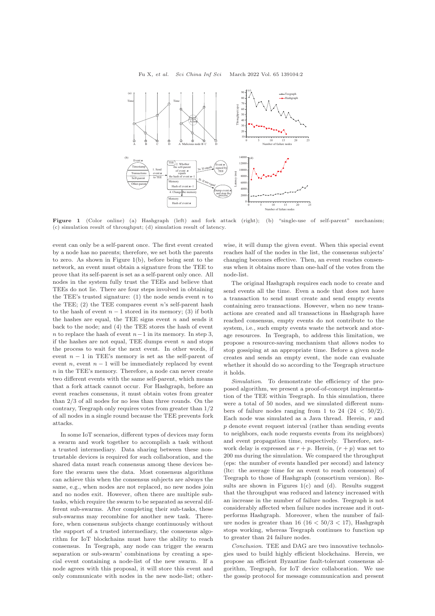<span id="page-1-0"></span>

Figure 1 (Color online) (a) Hashgraph (left) and fork attack (right); (b) "single-use of self-parent" mechanism; (c) simulation result of throughput; (d) simulation result of latency.

event can only be a self-parent once. The first event created by a node has no parents; therefore, we set both the parents to zero. As shown in Figure [1\(](#page-1-0)b), before being sent to the network, an event must obtain a signature from the TEE to prove that its self-parent is set as a self-parent only once. All nodes in the system fully trust the TEEs and believe that TEEs do not lie. There are four steps involved in obtaining the TEE's trusted signature: (1) the node sends event  $n$  to the TEE;  $(2)$  the TEE compares event n's self-parent hash to the hash of event  $n-1$  stored in its memory; (3) if both the hashes are equal, the TEE signs event  $n$  and sends it back to the node; and (4) the TEE stores the hash of event n to replace the hash of event  $n-1$  in its memory. In step 3, if the hashes are not equal, TEE dumps event  $n$  and stops the process to wait for the next event. In other words, if event  $n - 1$  in TEE's memory is set as the self-parent of event *n*, event  $n - 1$  will be immediately replaced by event n in the TEE's memory. Therefore, a node can never create two different events with the same self-parent, which means that a fork attack cannot occur. For Hashgraph, before an event reaches consensus, it must obtain votes from greater than 2/3 of all nodes for no less than three rounds. On the contrary, Teegraph only requires votes from greater than 1/2 of all nodes in a single round because the TEE prevents fork attacks.

In some IoT scenarios, different types of devices may form a swarm and work together to accomplish a task without a trusted intermediary. Data sharing between these nontrustable devices is required for such collaboration, and the shared data must reach consensus among these devices before the swarm uses the data. Most consensus algorithms can achieve this when the consensus subjects are always the same, e.g., when nodes are not replaced, no new nodes join and no nodes exit. However, often there are multiple subtasks, which require the swarm to be separated as several different sub-swarms. After completing their sub-tasks, these sub-swarms may recombine for another new task. Therefore, when consensus subjects change continuously without the support of a trusted intermediary, the consensus algorithm for IoT blockchains must have the ability to reach consensus. In Teegraph, any node can trigger the swarm separation or sub-swarm' combinations by creating a special event containing a node-list of the new swarm. If a node agrees with this proposal, it will store this event and only communicate with nodes in the new node-list; otherwise, it will dump the given event. When this special event reaches half of the nodes in the list, the consensus subjects' changing becomes effective. Then, an event reaches consensus when it obtains more than one-half of the votes from the node-list.

The original Hashgraph requires each node to create and send events all the time. Even a node that does not have a transaction to send must create and send empty events containing zero transactions. However, when no new transactions are created and all transactions in Hashgraph have reached consensus, empty events do not contribute to the system, i.e., such empty events waste the network and storage resources. In Teegraph, to address this limitation, we propose a resource-saving mechanism that allows nodes to stop gossiping at an appropriate time. Before a given node creates and sends an empty event, the node can evaluate whether it should do so according to the Teegraph structure it holds.

Simulation. To demonstrate the efficiency of the proposed algorithm, we present a proof-of-concept implementation of the TEE within Teegraph. In this simulation, there were a total of 50 nodes, and we simulated different numbers of failure nodes ranging from 1 to 24  $(24 < 50/2)$ . Each node was simulated as a Java thread. Herein,  $r$  and p denote event request interval (rather than sending events to neighbors, each node requests events from its neighbors) and event propagation time, respectively. Therefore, network delay is expressed as  $r + p$ . Herein,  $(r + p)$  was set to 200 ms during the simulation. We compared the throughput (eps: the number of events handled per second) and latency (ltc: the average time for an event to reach consensus) of Teegraph to those of Hashgraph (consortium version). Results are shown in Figures  $1(c)$  $1(c)$  and  $(d)$ . Results suggest that the throughput was reduced and latency increased with an increase in the number of failure nodes. Teegraph is not considerably affected when failure nodes increase and it outperforms Hashgraph. Moreover, when the number of failure nodes is greater than  $16 (16 < 50/3 < 17)$ , Hashgraph stops working, whereas Teegraph continues to function up to greater than 24 failure nodes.

Conclusion. TEE and DAG are two innovative technologies used to build highly efficient blockchains. Herein, we propose an efficient Byzantine fault-tolerant consensus algorithm, Teegraph, for IoT device collaboration. We use the gossip protocol for message communication and present